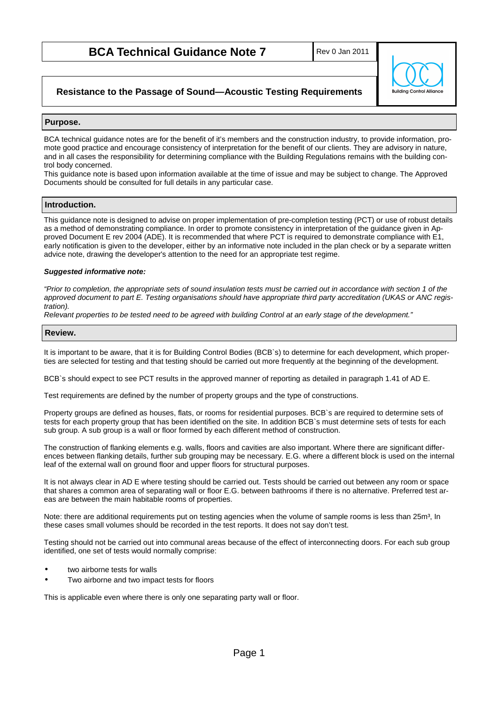# **BCA Technical Guidance Note 7**

Rev 0 Jan 2011



## **Resistance to the Passage of Sound—Acoustic Testing Requirements**

## **Purpose.**

BCA technical guidance notes are for the benefit of it's members and the construction industry, to provide information, promote good practice and encourage consistency of interpretation for the benefit of our clients. They are advisory in nature, and in all cases the responsibility for determining compliance with the Building Regulations remains with the building control body concerned.

This guidance note is based upon information available at the time of issue and may be subject to change. The Approved Documents should be consulted for full details in any particular case.

## **Introduction.**

This guidance note is designed to advise on proper implementation of pre-completion testing (PCT) or use of robust details as a method of demonstrating compliance. In order to promote consistency in interpretation of the guidance given in Approved Document E rev 2004 (ADE). It is recommended that where PCT is required to demonstrate compliance with E1, early notification is given to the developer, either by an informative note included in the plan check or by a separate written advice note, drawing the developer's attention to the need for an appropriate test regime.

#### **Suggested informative note:**

"Prior to completion, the appropriate sets of sound insulation tests must be carried out in accordance with section 1 of the approved document to part E. Testing organisations should have appropriate third party accreditation (UKAS or ANC registration).

Relevant properties to be tested need to be agreed with building Control at an early stage of the development."

## **Review.**

It is important to be aware, that it is for Building Control Bodies (BCB`s) to determine for each development, which properties are selected for testing and that testing should be carried out more frequently at the beginning of the development.

BCB`s should expect to see PCT results in the approved manner of reporting as detailed in paragraph 1.41 of AD E.

Test requirements are defined by the number of property groups and the type of constructions.

Property groups are defined as houses, flats, or rooms for residential purposes. BCB`s are required to determine sets of tests for each property group that has been identified on the site. In addition BCB`s must determine sets of tests for each sub group. A sub group is a wall or floor formed by each different method of construction.

The construction of flanking elements e.g. walls, floors and cavities are also important. Where there are significant differences between flanking details, further sub grouping may be necessary. E.G. where a different block is used on the internal leaf of the external wall on ground floor and upper floors for structural purposes.

It is not always clear in AD E where testing should be carried out. Tests should be carried out between any room or space that shares a common area of separating wall or floor E.G. between bathrooms if there is no alternative. Preferred test areas are between the main habitable rooms of properties.

Note: there are additional requirements put on testing agencies when the volume of sample rooms is less than 25m<sup>3</sup>, In these cases small volumes should be recorded in the test reports. It does not say don't test.

Testing should not be carried out into communal areas because of the effect of interconnecting doors. For each sub group identified, one set of tests would normally comprise:

- two airborne tests for walls
- Two airborne and two impact tests for floors

This is applicable even where there is only one separating party wall or floor.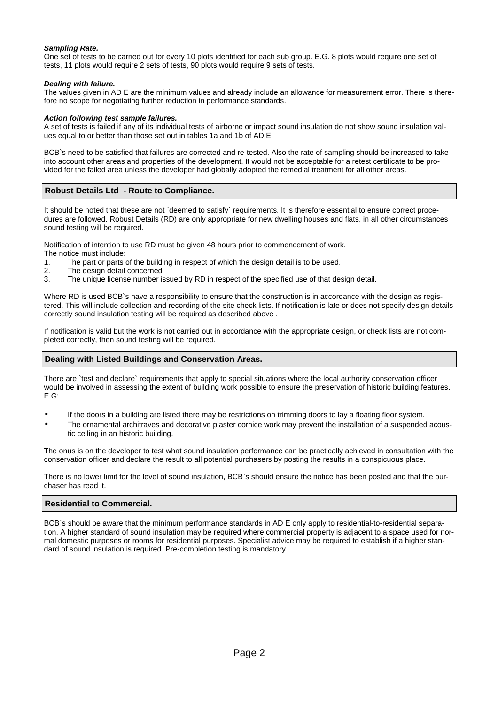### **Sampling Rate.**

One set of tests to be carried out for every 10 plots identified for each sub group. E.G. 8 plots would require one set of tests, 11 plots would require 2 sets of tests, 90 plots would require 9 sets of tests.

#### **Dealing with failure.**

The values given in AD E are the minimum values and already include an allowance for measurement error. There is therefore no scope for negotiating further reduction in performance standards.

#### **Action following test sample failures.**

A set of tests is failed if any of its individual tests of airborne or impact sound insulation do not show sound insulation values equal to or better than those set out in tables 1a and 1b of AD E.

BCB`s need to be satisfied that failures are corrected and re-tested. Also the rate of sampling should be increased to take into account other areas and properties of the development. It would not be acceptable for a retest certificate to be provided for the failed area unless the developer had globally adopted the remedial treatment for all other areas.

## **Robust Details Ltd - Route to Compliance.**

It should be noted that these are not `deemed to satisfy` requirements. It is therefore essential to ensure correct procedures are followed. Robust Details (RD) are only appropriate for new dwelling houses and flats, in all other circumstances sound testing will be required.

Notification of intention to use RD must be given 48 hours prior to commencement of work.

- The notice must include:
- 1. The part or parts of the building in respect of which the design detail is to be used.<br>2. The design detail concerned
- The design detail concerned
- 3. The unique license number issued by RD in respect of the specified use of that design detail.

Where RD is used BCB's have a responsibility to ensure that the construction is in accordance with the design as registered. This will include collection and recording of the site check lists. If notification is late or does not specify design details correctly sound insulation testing will be required as described above .

If notification is valid but the work is not carried out in accordance with the appropriate design, or check lists are not completed correctly, then sound testing will be required.

#### **Dealing with Listed Buildings and Conservation Areas.**

There are `test and declare` requirements that apply to special situations where the local authority conservation officer would be involved in assessing the extent of building work possible to ensure the preservation of historic building features. E.G:

- If the doors in a building are listed there may be restrictions on trimming doors to lay a floating floor system.
- The ornamental architraves and decorative plaster cornice work may prevent the installation of a suspended acoustic ceiling in an historic building.

The onus is on the developer to test what sound insulation performance can be practically achieved in consultation with the conservation officer and declare the result to all potential purchasers by posting the results in a conspicuous place.

There is no lower limit for the level of sound insulation, BCB`s should ensure the notice has been posted and that the purchaser has read it.

#### **Residential to Commercial.**

BCB`s should be aware that the minimum performance standards in AD E only apply to residential-to-residential separation. A higher standard of sound insulation may be required where commercial property is adjacent to a space used for normal domestic purposes or rooms for residential purposes. Specialist advice may be required to establish if a higher standard of sound insulation is required. Pre-completion testing is mandatory.